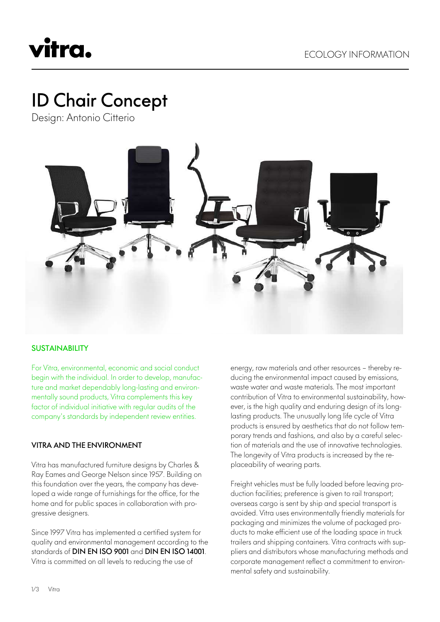## vitra.

### ID Chair Concept

Design: Antonio Citterio



#### **SUSTAINABILITY**

For Vitra, environmental, economic and social conduct begin with the individual. In order to develop, manufacture and market dependably long-lasting and environmentally sound products, Vitra complements this key factor of individual initiative with regular audits of the company's standards by independent review entities.

#### VITRA AND THE ENVIRONMENT

Vitra has manufactured furniture designs by Charles & Ray Eames and George Nelson since 1957. Building on this foundation over the years, the company has developed a wide range of furnishings for the office, for the home and for public spaces in collaboration with progressive designers.

Since 1997 Vitra has implemented a certified system for quality and environmental management according to the standards of DIN EN ISO 9001 and DIN EN ISO 14001. Vitra is committed on all levels to reducing the use of

energy, raw materials and other resources – thereby reducing the environmental impact caused by emissions, waste water and waste materials. The most important contribution of Vitra to environmental sustainability, however, is the high quality and enduring design of its longlasting products. The unusually long life cycle of Vitra products is ensured by aesthetics that do not follow temporary trends and fashions, and also by a careful selection of materials and the use of innovative technologies. The longevity of Vitra products is increased by the replaceability of wearing parts.

Freight vehicles must be fully loaded before leaving production facilities; preference is given to rail transport; overseas cargo is sent by ship and special transport is avoided. Vitra uses environmentally friendly materials for packaging and minimizes the volume of packaged products to make efficient use of the loading space in truck trailers and shipping containers. Vitra contracts with suppliers and distributors whose manufacturing methods and corporate management reflect a commitment to environmental safety and sustainability.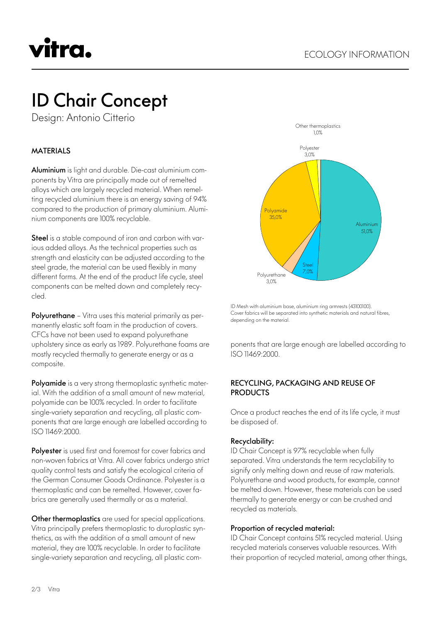# vitra.

### ID Chair Concept

Design: Antonio Citterio

#### MATERIALS

Aluminium is light and durable. Die-cast aluminium components by Vitra are principally made out of remelted alloys which are largely recycled material. When remelting recycled aluminium there is an energy saving of 94% compared to the production of primary aluminium. Aluminium components are 100% recyclable.

Steel is a stable compound of iron and carbon with various added alloys. As the technical properties such as strength and elasticity can be adjusted according to the steel grade, the material can be used flexibly in many different forms. At the end of the product life cycle, steel components can be melted down and completely recycled.

Polyurethane - Vitra uses this material primarily as permanently elastic soft foam in the production of covers. CFCs have not been used to expand polyurethane upholstery since as early as 1989. Polyurethane foams are mostly recycled thermally to generate energy or as a composite.

Polyamide is a very strong thermoplastic synthetic material. With the addition of a small amount of new material, polyamide can be 100% recycled. In order to facilitate single-variety separation and recycling, all plastic components that are large enough are labelled according to ISO 11469:2000.

Polyester is used first and foremost for cover fabrics and non-woven fabrics at Vitra. All cover fabrics undergo strict quality control tests and satisfy the ecological criteria of the German Consumer Goods Ordinance. Polyester is a thermoplastic and can be remelted. However, cover fabrics are generally used thermally or as a material.

Other thermoplastics are used for special applications. Vitra principally prefers thermoplastic to duroplastic synthetics, as with the addition of a small amount of new material, they are 100% recyclable. In order to facilitate single-variety separation and recycling, all plastic com-



ID Mesh with aluminium base, aluminium ring armrests (43100100). Cover fabrics will be separated into synthetic materials and natural fibres, depending on the material.

ponents that are large enough are labelled according to ISO 11469:2000.

#### RECYCLING, PACKAGING AND REUSE OF **PRODUCTS**

Once a product reaches the end of its life cycle, it must be disposed of.

#### Recyclability:

ID Chair Concept is 97% recyclable when fully separated. Vitra understands the term recyclability to signify only melting down and reuse of raw materials. Polyurethane and wood products, for example, cannot be melted down. However, these materials can be used thermally to generate energy or can be crushed and recycled as materials.

#### Proportion of recycled material:

ID Chair Concept contains 51% recycled material. Using recycled materials conserves valuable resources. With their proportion of recycled material, among other things,